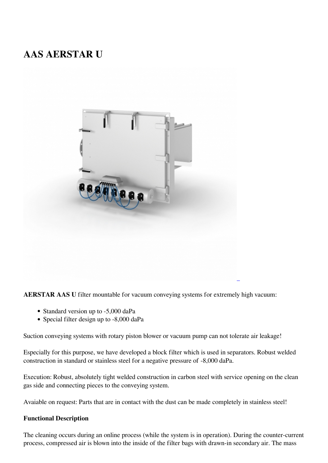## **AAS AERSTAR U**



**AERSTAR AAS U** filter mountable for vacuum conveying systems for extremely high vacuum:

- Standard version up to -5,000 daPa
- Special filter design up to -8,000 daPa

Suction conveying systems with rotary piston blower or vacuum pump can not tolerate air leakage!

Especially for this purpose, we have developed a block filter which is used in separators. Robust welded construction in standard or stainless steel for a negative pressure of -8,000 daPa.

Execution: Robust, absolutely tight welded construction in carbon steel with service opening on the clean gas side and connecting pieces to the conveying system.

Avaiable on request: Parts that are in contact with the dust can be made completely in stainless steel!

## **Functional Description**

The cleaning occurs during an online process (while the system is in operation). During the counter-current process, compressed air is blown into the inside of the filter bags with drawn-in secondary air. The mass